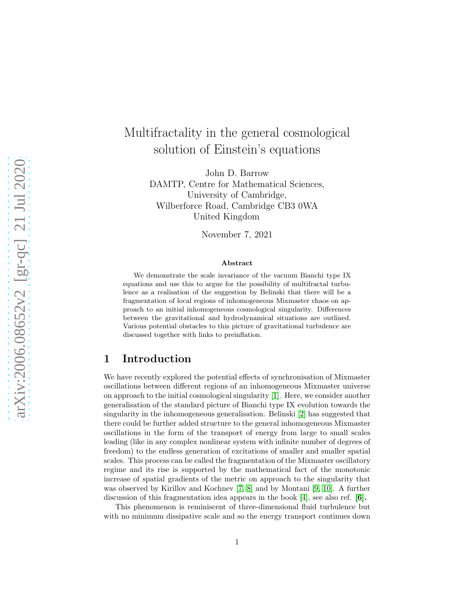# Multifractality in the general cosmological solution of Einstein's equations

John D. Barrow DAMTP, Centre for Mathematical Sciences, University of Cambridge, Wilberforce Road, Cambridge CB3 0WA United Kingdom

November 7, 2021

#### Abstract

We demonstrate the scale invariance of the vacuum Bianchi type IX equations and use this to argue for the possibility of multifractal turbulence as a realisation of the suggestion by Belinski that there will be a fragmentation of local regions of inhomogeneous Mixmaster chaos on approach to an initial inhomogeneous cosmological singularity. Differences between the gravitational and hydrodynamical situations are outlined. Various potential obstacles to this picture of gravitational turbulence are discussed together with links to preinflation.

### 1 Introduction

We have recently explored the potential effects of synchronisation of Mixmaster oscillations between different regions of an inhomogeneous Mixmaster universe on approach to the initial cosmological singularity [\[1\]](#page-4-0). Here, we consider another generalisation of the standard picture of Bianchi type IX evolution towards the singularity in the inhomogeneous generalisation. Belinski [\[2\]](#page-4-1) has suggested that there could be further added structure to the general inhomogeneous Mixmaster oscillations in the form of the transport of energy from large to small scales leading (like in any complex nonlinear system with infinite number of degrees of freedom) to the endless generation of excitations of smaller and smaller spatial scales. This process can be called the fragmentation of the Mixmaster oscillatory regime and its rise is supported by the mathematical fact of the monotonic increase of spatial gradients of the metric on approach to the singularity that was observed by Kirillov and Kochnev [\[7,](#page-4-2) [8\]](#page-4-3) and by Montani [\[9,](#page-4-4) [10\]](#page-4-5). A further discussion of this fragmentation idea appears in the book [\[4\]](#page-4-6), see also ref.  $[6]$ .

This phenomenon is reminiscent of three-dimensional fluid turbulence but with no minimum dissipative scale and so the energy transport continues down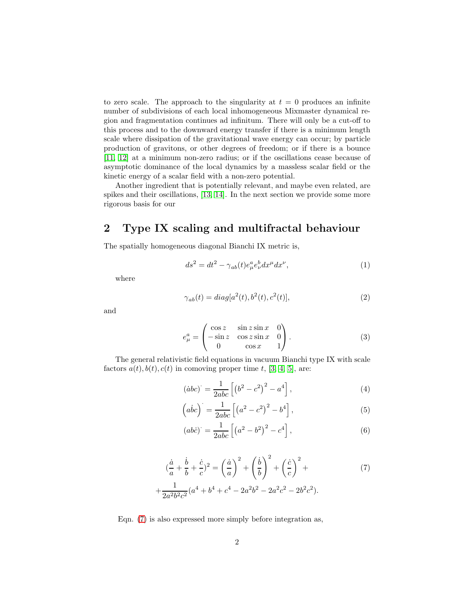to zero scale. The approach to the singularity at  $t = 0$  produces an infinite number of subdivisions of each local inhomogeneous Mixmaster dynamical region and fragmentation continues ad infinitum. There will only be a cut-off to this process and to the downward energy transfer if there is a minimum length scale where dissipation of the gravitational wave energy can occur; by particle production of gravitons, or other degrees of freedom; or if there is a bounce [\[11,](#page-4-8) [12\]](#page-4-9) at a minimum non-zero radius; or if the oscillations cease because of asymptotic dominance of the local dynamics by a massless scalar field or the kinetic energy of a scalar field with a non-zero potential.

Another ingredient that is potentially relevant, and maybe even related, are spikes and their oscillations, [\[13,](#page-4-10) [14\]](#page-4-11). In the next section we provide some more rigorous basis for our

## 2 Type IX scaling and multifractal behaviour

The spatially homogeneous diagonal Bianchi IX metric is,

$$
ds^2 = dt^2 - \gamma_{ab}(t)e^a_\mu e^b_\nu dx^\mu dx^\nu,\tag{1}
$$

where

$$
\gamma_{ab}(t) = diag[a^2(t), b^2(t), c^2(t)],
$$
\n(2)

and

$$
e_{\mu}^{a} = \begin{pmatrix} \cos z & \sin z \sin x & 0 \\ -\sin z & \cos z \sin x & 0 \\ 0 & \cos x & 1 \end{pmatrix}.
$$
 (3)

The general relativistic field equations in vacuum Bianchi type IX with scale factors  $a(t)$ ,  $b(t)$ ,  $c(t)$  in comoving proper time t, [\[3,](#page-4-12) [4,](#page-4-6) [5\]](#page-4-13), are:

<span id="page-1-1"></span>
$$
(\dot{a}bc)^{\cdot} = \frac{1}{2abc} \left[ \left( b^2 - c^2 \right)^2 - a^4 \right],\tag{4}
$$

<span id="page-1-2"></span>
$$
(abc) = {1 \over 2abc} \left[ \left( a^2 - c^2 \right)^2 - b^4 \right],
$$
\n<sup>(5)</sup>

<span id="page-1-3"></span><span id="page-1-0"></span>
$$
(abc)' = \frac{1}{2abc} \left[ \left( a^2 - b^2 \right)^2 - c^4 \right],
$$
\n(6)

$$
(\frac{\dot{a}}{a} + \frac{\dot{b}}{b} + \frac{\dot{c}}{c})^2 = \left(\frac{\dot{a}}{a}\right)^2 + \left(\frac{\dot{b}}{b}\right)^2 + \left(\frac{\dot{c}}{c}\right)^2 + \frac{1}{2a^2b^2c^2}(a^4 + b^4 + c^4 - 2a^2b^2 - 2a^2c^2 - 2b^2c^2).
$$
 (7)

Eqn. [\(7\)](#page-1-0) is also expressed more simply before integration as,

 $+$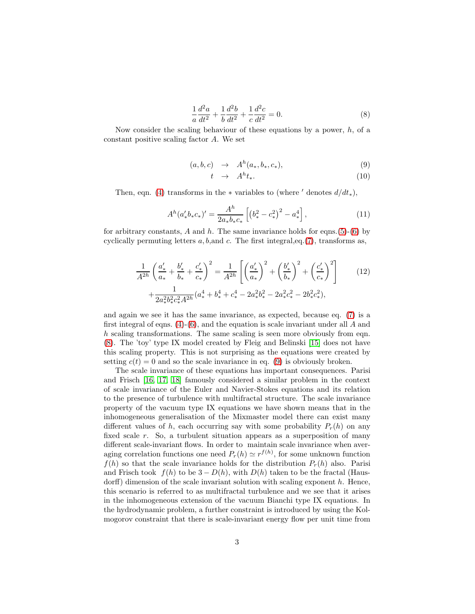<span id="page-2-0"></span>
$$
\frac{1}{a}\frac{d^2a}{dt^2} + \frac{1}{b}\frac{d^2b}{dt^2} + \frac{1}{c}\frac{d^2c}{dt^2} = 0.
$$
 (8)

Now consider the scaling behaviour of these equations by a power, h, of a constant positive scaling factor A. We set

<span id="page-2-1"></span>
$$
(a,b,c) \rightarrow A^h(a_*,b_*,c_*), \qquad (9)
$$

$$
t \rightarrow A^h t_*.
$$
 (10)

Then, eqn. [\(4\)](#page-1-1) transforms in the  $*$  variables to (where  $'$  denotes  $d/dt_*$ ),

$$
A^{h}(a'_{*}b_{*}c_{*})' = \frac{A^{h}}{2a_{*}b_{*}c_{*}} \left[ \left( b_{*}^{2} - c_{*}^{2} \right)^{2} - a_{*}^{4} \right], \tag{11}
$$

for arbitrary constants, A and h. The same invariance holds for eqns.[\(5\)](#page-1-2)-[\(6\)](#page-1-3) by cyclically permuting letters  $a, b$ , and  $c$ . The first integral, eq. [\(7\)](#page-1-0), transforms as,

$$
\frac{1}{A^{2h}} \left( \frac{a'_{*}}{a_{*}} + \frac{b'_{*}}{b_{*}} + \frac{c'_{*}}{c_{*}} \right)^{2} = \frac{1}{A^{2h}} \left[ \left( \frac{a'_{*}}{a_{*}} \right)^{2} + \left( \frac{b'_{*}}{b_{*}} \right)^{2} + \left( \frac{c'_{*}}{c_{*}} \right)^{2} \right] \tag{12}
$$
\n
$$
+ \frac{1}{2a_{*}^{2}b_{*}^{2}c_{*}^{2}A^{2h}} (a_{*}^{4} + b_{*}^{4} + c_{*}^{4} - 2a_{*}^{2}b_{*}^{2} - 2a_{*}^{2}c_{*}^{2} - 2b_{*}^{2}c_{*}^{2}),
$$

and again we see it has the same invariance, as expected, because eq. [\(7\)](#page-1-0) is a first integral of eqns.  $(4)-(6)$  $(4)-(6)$ , and the equation is scale invariant under all A and h scaling transformations. The same scaling is seen more obviously from eqn. [\(8\)](#page-2-0). The 'toy' type IX model created by Fleig and Belinski [\[15\]](#page-4-14) does not have this scaling property. This is not surprising as the equations were created by setting  $c(t) = 0$  and so the scale invariance in eq. [\(9\)](#page-2-1) is obviously broken.

The scale invariance of these equations has important consequences. Parisi and Frisch [\[16,](#page-4-15) [17,](#page-5-0) [18\]](#page-5-1) famously considered a similar problem in the context of scale invariance of the Euler and Navier-Stokes equations and its relation to the presence of turbulence with multifractal structure. The scale invariance property of the vacuum type IX equations we have shown means that in the inhomogeneous generalisation of the Mixmaster model there can exist many different values of h, each occurring say with some probability  $P_r(h)$  on any fixed scale r. So, a turbulent situation appears as a superposition of many different scale-invariant flows. In order to maintain scale invariance when averaging correlation functions one need  $P_r(h) \simeq r^{f(h)}$ , for some unknown function  $f(h)$  so that the scale invariance holds for the distribution  $P_r(h)$  also. Parisi and Frisch took  $f(h)$  to be  $3 - D(h)$ , with  $D(h)$  taken to be the fractal (Hausdorff) dimension of the scale invariant solution with scaling exponent  $h$ . Hence, this scenario is referred to as multifractal turbulence and we see that it arises in the inhomogeneous extension of the vacuum Bianchi type IX equations. In the hydrodynamic problem, a further constraint is introduced by using the Kolmogorov constraint that there is scale-invariant energy flow per unit time from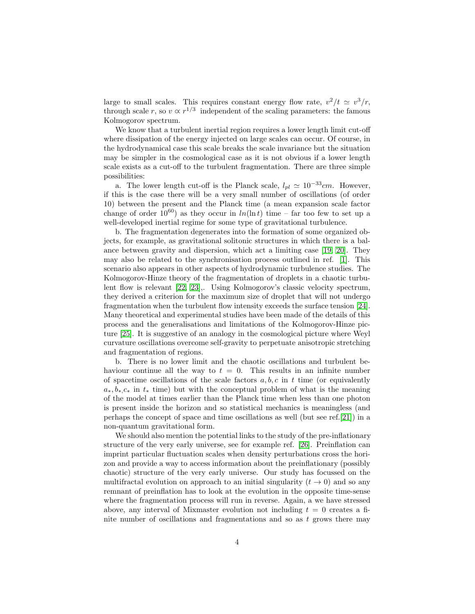large to small scales. This requires constant energy flow rate,  $v^2/t \simeq v^3/r$ , through scale r, so  $v \propto r^{1/3}$  independent of the scaling parameters: the famous Kolmogorov spectrum.

We know that a turbulent inertial region requires a lower length limit cut-off where dissipation of the energy injected on large scales can occur. Of course, in the hydrodynamical case this scale breaks the scale invariance but the situation may be simpler in the cosmological case as it is not obvious if a lower length scale exists as a cut-off to the turbulent fragmentation. There are three simple possibilities:

a. The lower length cut-off is the Planck scale,  $l_{pl} \simeq 10^{-33}$ cm. However, if this is the case there will be a very small number of oscillations (of order 10) between the present and the Planck time (a mean expansion scale factor change of order  $10^{60}$ ) as they occur in  $ln(\ln t)$  time – far too few to set up a well-developed inertial regime for some type of gravitational turbulence.

b. The fragmentation degenerates into the formation of some organized objects, for example, as gravitational solitonic structures in which there is a balance between gravity and dispersion, which act a limiting case [\[19,](#page-5-2) [20\]](#page-5-3). They may also be related to the synchronisation process outlined in ref. [\[1\]](#page-4-0). This scenario also appears in other aspects of hydrodynamic turbulence studies. The Kolmogorov-Hinze theory of the fragmentation of droplets in a chaotic turbulent flow is relevant [\[22,](#page-5-4) [23\]](#page-5-5),. Using Kolmogorov's classic velocity spectrum, they derived a criterion for the maximum size of droplet that will not undergo fragmentation when the turbulent flow intensity exceeds the surface tension [\[24\]](#page-5-6). Many theoretical and experimental studies have been made of the details of this process and the generalisations and limitations of the Kolmogorov-Hinze picture [\[25\]](#page-5-7). It is suggestive of an analogy in the cosmological picture where Weyl curvature oscillations overcome self-gravity to perpetuate anisotropic stretching and fragmentation of regions.

b. There is no lower limit and the chaotic oscillations and turbulent behaviour continue all the way to  $t = 0$ . This results in an infinite number of spacetime oscillations of the scale factors  $a, b, c$  in t time (or equivalently  $a_*, b_*, c_*$  in  $t_*$  time) but with the conceptual problem of what is the meaning of the model at times earlier than the Planck time when less than one photon is present inside the horizon and so statistical mechanics is meaningless (and perhaps the concept of space and time oscillations as well (but see ref.[\[21\]](#page-5-8)) in a non-quantum gravitational form.

We should also mention the potential links to the study of the pre-inflationary structure of the very early universe, see for example ref. [\[26\]](#page-5-9). Preinflation can imprint particular fluctuation scales when density perturbations cross the horizon and provide a way to access information about the preinflationary (possibly chaotic) structure of the very early universe. Our study has focussed on the multifractal evolution on approach to an initial singularity  $(t \to 0)$  and so any remnant of preinflation has to look at the evolution in the opposite time-sense where the fragmentation process will run in reverse. Again, a we have stressed above, any interval of Mixmaster evolution not including  $t = 0$  creates a finite number of oscillations and fragmentations and so as  $t$  grows there may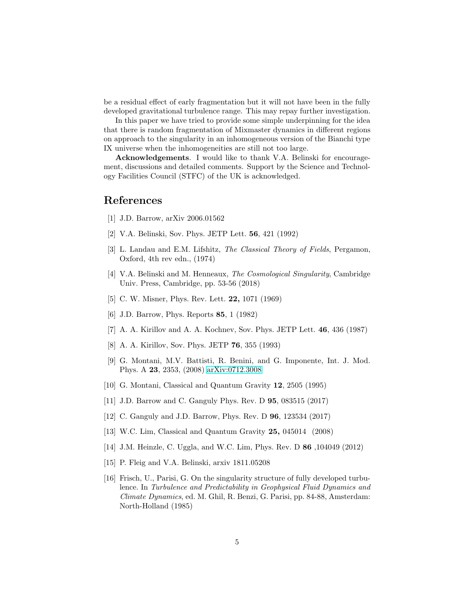be a residual effect of early fragmentation but it will not have been in the fully developed gravitational turbulence range. This may repay further investigation.

In this paper we have tried to provide some simple underpinning for the idea that there is random fragmentation of Mixmaster dynamics in different regions on approach to the singularity in an inhomogeneous version of the Bianchi type IX universe when the inhomogeneities are still not too large.

Acknowledgements. I would like to thank V.A. Belinski for encouragement, discussions and detailed comments. Support by the Science and Technology Facilities Council (STFC) of the UK is acknowledged.

#### <span id="page-4-0"></span>References

- <span id="page-4-1"></span>[1] J.D. Barrow, arXiv 2006.01562
- <span id="page-4-12"></span>[2] V.A. Belinski, Sov. Phys. JETP Lett. 56, 421 (1992)
- [3] L. Landau and E.M. Lifshitz, *The Classical Theory of Fields*, Pergamon, Oxford, 4th rev edn., (1974)
- <span id="page-4-6"></span>[4] V.A. Belinski and M. Henneaux, The Cosmological Singularity, Cambridge Univ. Press, Cambridge, pp. 53-56 (2018)
- <span id="page-4-13"></span><span id="page-4-7"></span>[5] C. W. Misner, Phys. Rev. Lett. **22**, 1071 (1969)
- <span id="page-4-2"></span>[6] J.D. Barrow, Phys. Reports 85, 1 (1982)
- <span id="page-4-3"></span>[7] A. A. Kirillov and A. A. Kochnev, Sov. Phys. JETP Lett. 46, 436 (1987)
- <span id="page-4-4"></span>[8] A. A. Kirillov, Sov. Phys. JETP 76, 355 (1993)
- [9] G. Montani, M.V. Battisti, R. Benini, and G. Imponente, Int. J. Mod. Phys. A 23, 2353, (2008) [arXiv:0712.3008](http://arxiv.org/abs/0712.3008)
- <span id="page-4-8"></span><span id="page-4-5"></span>[10] G. Montani, Classical and Quantum Gravity 12, 2505 (1995)
- <span id="page-4-9"></span>[11] J.D. Barrow and C. Ganguly Phys. Rev. D 95, 083515 (2017)
- <span id="page-4-10"></span>[12] C. Ganguly and J.D. Barrow, Phys. Rev. D 96, 123534 (2017)
- <span id="page-4-11"></span>[13] W.C. Lim, Classical and Quantum Gravity 25, 045014 (2008)
- <span id="page-4-14"></span>[14] J.M. Heinzle, C. Uggla, and W.C. Lim, Phys. Rev. D 86 ,104049 (2012)
- <span id="page-4-15"></span>[15] P. Fleig and V.A. Belinski, arxiv 1811.05208
- [16] Frisch, U., Parisi, G. On the singularity structure of fully developed turbulence. In Turbulence and Predictability in Geophysical Fluid Dynamics and Climate Dynamics, ed. M. Ghil, R. Benzi, G. Parisi, pp. 84-88, Amsterdam: North-Holland (1985)